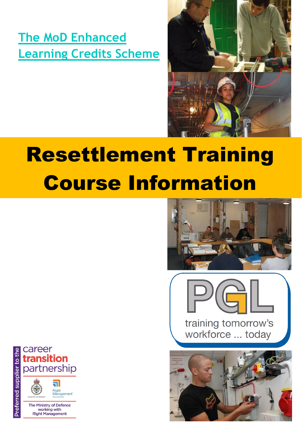**[The MoD Enhanced](http://www.enhancedlearningcredits.com/)  [Learning Credits Scheme](http://www.enhancedlearningcredits.com/)**



# Resettlement Training Course Information







career transition partnership

Preferred supplier to the

**all** Right<br>Management

The Ministry of Defence working with **Right Management**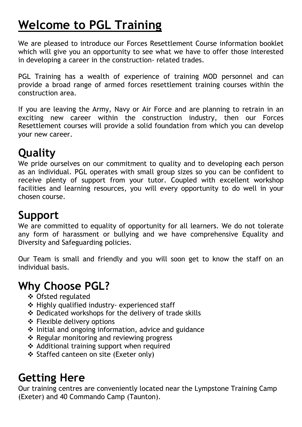## **Welcome to PGL Training**

We are pleased to introduce our Forces Resettlement Course information booklet which will give you an opportunity to see what we have to offer those interested in developing a career in the construction- related trades.

PGL Training has a wealth of experience of training MOD personnel and can provide a broad range of armed forces resettlement training courses within the construction area.

If you are leaving the Army, Navy or Air Force and are planning to retrain in an exciting new career within the construction industry, then our Forces Resettlement courses will provide a solid foundation from which you can develop your new career.

## **Quality**

We pride ourselves on our commitment to quality and to developing each person as an individual. PGL operates with small group sizes so you can be confident to receive plenty of support from your tutor. Coupled with excellent workshop facilities and learning resources, you will every opportunity to do well in your chosen course.

## **Support**

We are committed to equality of opportunity for all learners. We do not tolerate any form of harassment or bullying and we have comprehensive Equality and Diversity and Safeguarding policies.

Our Team is small and friendly and you will soon get to know the staff on an individual basis.

## **Why Choose PGL?**

- Ofsted regulated
- Highly qualified industry- experienced staff
- Dedicated workshops for the delivery of trade skills
- Flexible delivery options
- $\cdot$  Initial and ongoing information, advice and guidance
- ❖ Regular monitoring and reviewing progress
- ❖ Additional training support when required
- ❖ Staffed canteen on site (Exeter only)

## **Getting Here**

Our training centres are conveniently located near the Lympstone Training Camp (Exeter) and 40 Commando Camp (Taunton).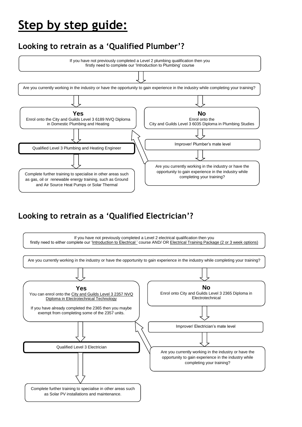## **Step by step guide:**

### **Looking to retrain as a 'Qualified Plumber'?**



### **Looking to retrain as a 'Qualified Electrician'?**

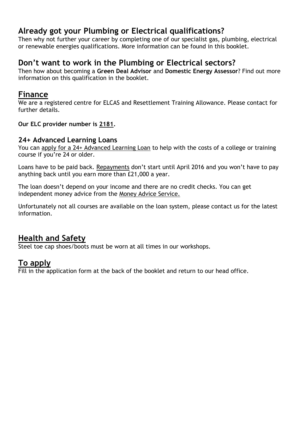### **Already got your Plumbing or Electrical qualifications?**

Then why not further your career by completing one of our specialist gas, plumbing, electrical or renewable energies qualifications. More information can be found in this booklet.

### **Don't want to work in the Plumbing or Electrical sectors?**

Then how about becoming a **Green Deal Advisor** and **Domestic Energy Assessor**? Find out more information on this qualification in the booklet.

### **Finance**

We are a registered centre for ELCAS and Resettlement Training Allowance. Please contact for further details.

**Our ELC provider number is 2181.**

### **24+ Advanced Learning Loans**

You can [apply for a 24+ Advanced Learning Loan](https://www.gov.uk/advanced-learning-loans/how-to-claim) to help with the costs of a college or training course if you're 24 or older.

Loans have to be paid back. [Repayments](https://www.gov.uk/advanced-learning-loans/further-information) don't start until April 2016 and you won't have to pay anything back until you earn more than £21,000 a year.

The loan doesn't depend on your income and there are no credit checks. You can get independent money advice from the [Money Advice Service.](http://www.moneyadviceservice.org.uk/)

Unfortunately not all courses are available on the loan system, please contact us for the latest information.

### **Health and Safety**

Steel toe cap shoes/boots must be worn at all times in our workshops.

### **To apply**

Fill in the application form at the back of the booklet and return to our head office.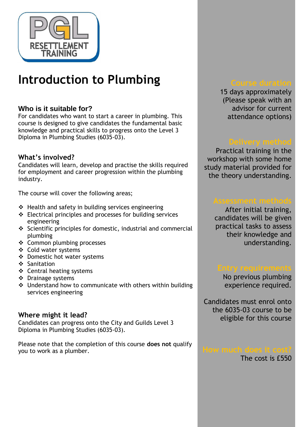

## **Introduction to Plumbing**

### **Who is it suitable for?**

For candidates who want to start a career in plumbing. This course is designed to give candidates the fundamental basic knowledge and practical skills to progress onto the Level 3 Diploma in Plumbing Studies (6035-03).

### **What's involved?**

Candidates will learn, develop and practise the skills required for employment and career progression within the plumbing industry.

The course will cover the following areas;

- $\div$  Health and safety in building services engineering
- Electrical principles and processes for building services engineering
- $\div$  Scientific principles for domestic, industrial and commercial plumbing
- ❖ Common plumbing processes
- Cold water systems
- Domestic hot water systems
- ❖ Sanitation
- Central heating systems
- ❖ Drainage systems
- ◆ Understand how to communicate with others within building services engineering

### **Where might it lead?**

Candidates can progress onto the City and Guilds Level 3 Diploma in Plumbing Studies (6035-03).

Please note that the completion of this course **does not** qualify you to work as a plumber.

15 days approximately (Please speak with an advisor for current attendance options)

Practical training in the workshop with some home study material provided for the theory understanding.

After initial training, candidates will be given practical tasks to assess their knowledge and understanding.

No previous plumbing experience required.

Candidates must enrol onto the 6035-03 course to be eligible for this course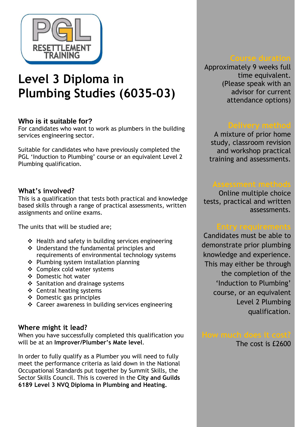

## **Level 3 Diploma in Plumbing Studies (6035-03)**

### **Who is it suitable for?**

For candidates who want to work as plumbers in the building services engineering sector.

Suitable for candidates who have previously completed the PGL 'Induction to Plumbing' course or an equivalent Level 2 Plumbing qualification.

### **What's involved?**

This is a qualification that tests both practical and knowledge based skills through a range of practical assessments, written assignments and online exams.

The units that will be studied are;

- $\div$  Health and safety in building services engineering
- ❖ Understand the fundamental principles and requirements of environmental technology systems
- ❖ Plumbing system installation planning
- ❖ Complex cold water systems
- Domestic hot water
- ❖ Sanitation and drainage systems
- Central heating systems
- $\triangleleft$  Domestic gas principles
- Career awareness in building services engineering

### **Where might it lead?**

When you have successfully completed this qualification you will be at an **Improver/Plumber's Mate level**.

In order to fully qualify as a Plumber you will need to fully meet the performance criteria as laid down in the National Occupational Standards put together by Summit Skills, the Sector Skills Council. This is covered in the **City and Guilds 6189 Level 3 NVQ Diploma in Plumbing and Heating.**

Approximately 9 weeks full time equivalent. (Please speak with an advisor for current attendance options)

A mixture of prior home study, classroom revision and workshop practical training and assessments.

Online multiple choice tests, practical and written assessments.

Candidates must be able to demonstrate prior plumbing knowledge and experience. This may either be through the completion of the 'Induction to Plumbing' course, or an equivalent Level 2 Plumbing qualification.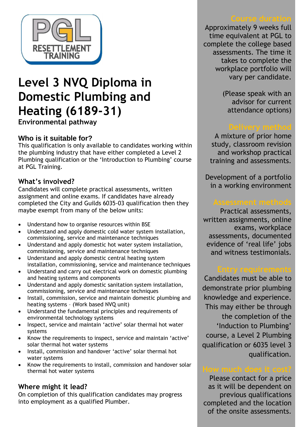

## **Level 3 NVQ Diploma in Domestic Plumbing and Heating (6189-31)**

**Environmental pathway**

### **Who is it suitable for?**

This qualification is only available to candidates working within the plumbing industry that have either completed a Level 2 Plumbing qualification or the 'Introduction to Plumbing' course at PGL Training.

### **What's involved?**

Candidates will complete practical assessments, written assignment and online exams. If candidates have already completed the City and Guilds 6035-03 qualification then they maybe exempt from many of the below units:

- Understand how to organise resources within BSE
- Understand and apply domestic cold water system installation, commissioning, service and maintenance techniques
- Understand and apply domestic hot water system installation, commissioning, service and maintenance techniques
- Understand and apply domestic central heating system installation, commissioning, service and maintenance techniques
- Understand and carry out electrical work on domestic plumbing and heating systems and components
- Understand and apply domestic sanitation system installation, commissioning, service and maintenance techniques
- Install, commission, service and maintain domestic plumbing and heating systems – (Work based NVQ unit)
- Understand the fundamental principles and requirements of environmental technology systems
- Inspect, service and maintain 'active' solar thermal hot water systems
- Know the requirements to inspect, service and maintain 'active' solar thermal hot water systems
- Install, commission and handover 'active' solar thermal hot water systems
- Know the requirements to install, commission and handover solar thermal hot water systems

### **Where might it lead?**

On completion of this qualification candidates may progress into employment as a qualified Plumber.

Approximately 9 weeks full time equivalent at PGL to complete the college based assessments. The time it takes to complete the workplace portfolio will vary per candidate.

> (Please speak with an advisor for current attendance options)

A mixture of prior home study, classroom revision and workshop practical training and assessments.

Development of a portfolio in a working environment

Practical assessments, written assignments, online exams, workplace assessments, documented evidence of 'real life' jobs and witness testimonials.

Candidates must be able to demonstrate prior plumbing knowledge and experience. This may either be through the completion of the 'Induction to Plumbing' course, a Level 2 Plumbing qualification or 6035 level 3 qualification.

Please contact for a price as it will be dependent on previous qualifications completed and the location of the onsite assessments.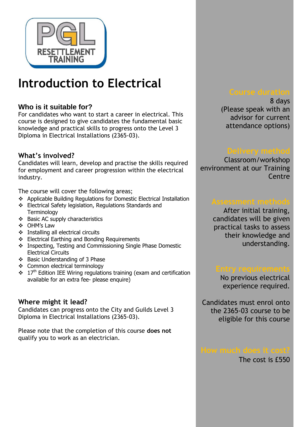

## **Introduction to Electrical**

### **Who is it suitable for?**

For candidates who want to start a career in electrical. This course is designed to give candidates the fundamental basic knowledge and practical skills to progress onto the Level 3 Diploma in Electrical Installations (2365-03).

### **What's involved?**

Candidates will learn, develop and practise the skills required for employment and career progression within the electrical industry.

The course will cover the following areas;

- Applicable Building Regulations for Domestic Electrical Installation
- Electrical Safety legislation, Regulations Standards and **Terminology**
- Basic AC supply characteristics
- OHM's Law
- ❖ Installing all electrical circuits
- Electrical Earthing and Bonding Requirements
- \* Inspecting, Testing and Commissioning Single Phase Domestic Electrical Circuits
- Basic Understanding of 3 Phase
- Common electrical terminology
- $\cdot$  17<sup>th</sup> Edition IEE Wiring regulations training (exam and certification available for an extra fee- please enquire)

### **Where might it lead?**

Candidates can progress onto the City and Guilds Level 3 Diploma in Electrical Installations (2365-03).

Please note that the completion of this course **does not** qualify you to work as an electrician.

8 days (Please speak with an advisor for current attendance options)

Classroom/workshop environment at our Training **Centre** 

After initial training, candidates will be given practical tasks to assess their knowledge and understanding.

No previous electrical experience required.

Candidates must enrol onto the 2365-03 course to be eligible for this course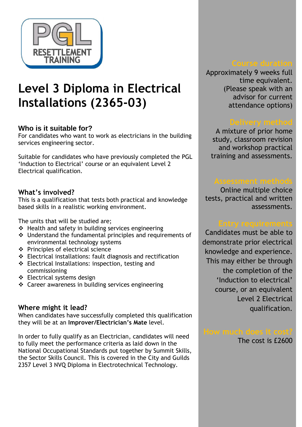

## **Level 3 Diploma in Electrical Installations (2365-03)**

### **Who is it suitable for?**

For candidates who want to work as electricians in the building services engineering sector.

Suitable for candidates who have previously completed the PGL 'Induction to Electrical' course or an equivalent Level 2 Electrical qualification.

### **What's involved?**

This is a qualification that tests both practical and knowledge based skills in a realistic working environment.

The units that will be studied are;

- $\div$  Health and safety in building services engineering
- Understand the fundamental principles and requirements of environmental technology systems
- Principles of electrical science
- Electrical installations: fault diagnosis and rectification
- Electrical Installations: inspection, testing and commissioning
- Electrical systems design
- Career awareness in building services engineering

### **Where might it lead?**

When candidates have successfully completed this qualification they will be at an **Improver/Electrician's Mate** level.

In order to fully qualify as an Electrician, candidates will need to fully meet the performance criteria as laid down in the National Occupational Standards put together by Summit Skills, the Sector Skills Council. This is covered in the City and Guilds 2357 Level 3 NVQ Diploma in Electrotechnical Technology.

Approximately 9 weeks full time equivalent. (Please speak with an advisor for current attendance options)

A mixture of prior home study, classroom revision and workshop practical training and assessments.

Online multiple choice tests, practical and written assessments.

Candidates must be able to demonstrate prior electrical knowledge and experience. This may either be through the completion of the 'Induction to electrical' course, or an equivalent Level 2 Electrical qualification.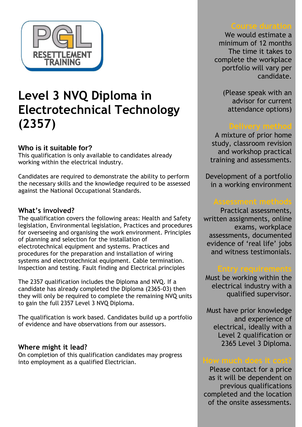

## **Level 3 NVQ Diploma in Electrotechnical Technology (2357)**

### **Who is it suitable for?**

This qualification is only available to candidates already working within the electrical industry.

Candidates are required to demonstrate the ability to perform the necessary skills and the knowledge required to be assessed against the National Occupational Standards.

### **What's involved?**

The qualification covers the following areas: Health and Safety legislation, Environmental legislation, Practices and procedures for overseeing and organising the work environment. Principles of planning and selection for the installation of electrotechnical equipment and systems. Practices and procedures for the preparation and installation of wiring systems and electrotechnical equipment. Cable termination. Inspection and testing. Fault finding and Electrical principles

The 2357 qualification includes the Diploma and NVQ. If a candidate has already completed the Diploma (2365-03) then they will only be required to complete the remaining NVQ units to gain the full 2357 Level 3 NVQ Diploma.

The qualification is work based. Candidates build up a portfolio of evidence and have observations from our assessors.

### **Where might it lead?**

On completion of this qualification candidates may progress into employment as a qualified Electrician.

We would estimate a minimum of 12 months The time it takes to complete the workplace portfolio will vary per candidate.

> (Please speak with an advisor for current attendance options)

A mixture of prior home study, classroom revision and workshop practical training and assessments.

Development of a portfolio in a working environment

Practical assessments, written assignments, online exams, workplace assessments, documented evidence of 'real life' jobs and witness testimonials.

Must be working within the electrical industry with a qualified supervisor.

Must have prior knowledge and experience of electrical, ideally with a Level 2 qualification or 2365 Level 3 Diploma.

Please contact for a price as it will be dependent on previous qualifications completed and the location of the onsite assessments.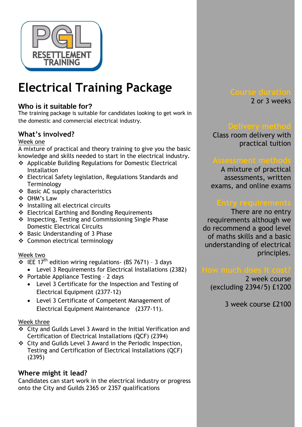

## **Electrical Training Package**

### **Who is it suitable for?**

The training package is suitable for candidates looking to get work in the domestic and commercial electrical industry.

### **What's involved?**

### Week one

A mixture of practical and theory training to give you the basic knowledge and skills needed to start in the electrical industry.

- Applicable Building Regulations for Domestic Electrical **Installation**
- Electrical Safety legislation, Regulations Standards and **Terminology**
- Basic AC supply characteristics
- OHM's Law
- $\div$  Installing all electrical circuits
- Electrical Earthing and Bonding Requirements
- \* Inspecting, Testing and Commissioning Single Phase Domestic Electrical Circuits
- ❖ Basic Understanding of 3 Phase
- Common electrical terminology

### Week two

- $\frac{1}{2}$  IEE 17<sup>th</sup> edition wiring regulations- (BS 7671) 3 days
	- Level 3 Requirements for Electrical Installations (2382)
- $\div$  Portable Appliance Testing 2 days
	- Level 3 Certificate for the Inspection and Testing of Electrical Equipment (2377-12)
	- Level 3 Certificate of Competent Management of Electrical Equipment Maintenance (2377-11).

### Week three

- City and Guilds Level 3 Award in the Initial Verification and Certification of Electrical Installations (QCF) (2394)
- City and Guilds Level 3 Award in the Periodic Inspection, Testing and Certification of Electrical Installations (QCF) (2395)

### **Where might it lead?**

Candidates can start work in the electrical industry or progress onto the City and Guilds 2365 or 2357 qualifications

2 or 3 weeks

Class room delivery with practical tuition

A mixture of practical assessments, written exams, and online exams

There are no entry requirements although we do recommend a good level of maths skills and a basic understanding of electrical principles.

2 week course (excluding 2394/5) £1200

3 week course £2100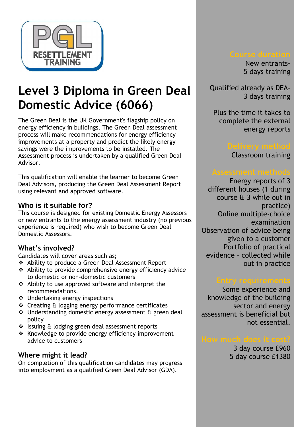

## **Level 3 Diploma in Green Deal Domestic Advice (6066)**

The Green Deal is the UK Government's flagship policy on energy efficiency in buildings. The Green Deal assessment process will make recommendations for energy efficiency improvements at a property and predict the likely energy savings were the improvements to be installed. The Assessment process is undertaken by a qualified Green Deal Advisor.

This qualification will enable the learner to become Green Deal Advisors, producing the Green Deal Assessment Report using relevant and approved software.

### **Who is it suitable for?**

This course is designed for existing Domestic Energy Assessors or new entrants to the energy assessment industry (no previous experience is required) who wish to become Green Deal Domestic Assessors.

### **What's involved?**

Candidates will cover areas such as;

- Ability to produce a Green Deal Assessment Report
- Ability to provide comprehensive energy efficiency advice to domestic or non-domestic customers
- Ability to use approved software and interpret the recommendations.
- Undertaking energy inspections
- Creating & logging energy performance certificates
- Understanding domestic energy assessment & green deal policy
- Issuing & lodging green deal assessment reports
- \* Knowledge to provide energy efficiency improvement advice to customers

### **Where might it lead?**

On completion of this qualification candidates may progress into employment as a qualified Green Deal Advisor (GDA).

New entrants-5 days training

Qualified already as DEA-3 days training

Plus the time it takes to complete the external energy reports

Classroom training

Energy reports of 3 different houses (1 during course & 3 while out in practice) Online multiple-choice examination Observation of advice being given to a customer Portfolio of practical evidence – collected while out in practice

Some experience and knowledge of the building sector and energy assessment is beneficial but not essential.

3 day course £960 5 day course £1380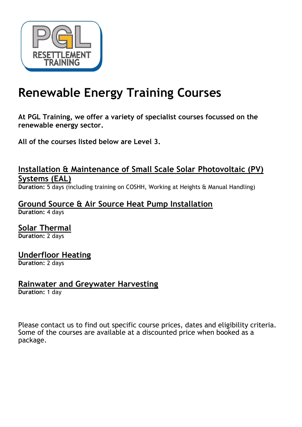

## **Renewable Energy Training Courses**

**At PGL Training, we offer a variety of specialist courses focussed on the renewable energy sector.**

**All of the courses listed below are Level 3.**

### **Installation & Maintenance of Small Scale Solar Photovoltaic (PV) Systems (EAL)**

**Duration:** 5 days (including training on COSHH, Working at Heights & Manual Handling)

**Ground Source & Air Source Heat Pump Installation Duration:** 4 days

**Solar Thermal Duration:** 2 days

### **Underfloor Heating**

**Duration:** 2 days

### **Rainwater and Greywater Harvesting**

**Duration:** 1 day

Please contact us to find out specific course prices, dates and eligibility criteria. Some of the courses are available at a discounted price when booked as a package.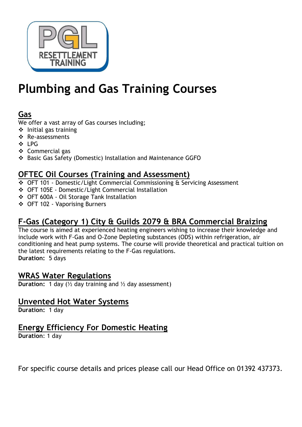

## **Plumbing and Gas Training Courses**

### **Gas**

We offer a vast array of Gas courses including;

- $\cdot$  Initial gas training
- ❖ Re-assessments
- ❖ IPG
- Commercial gas
- Basic Gas Safety (Domestic) Installation and Maintenance GGFO

### **OFTEC Oil Courses (Training and Assessment)**

- OFT 101 Domestic/Light Commercial Commissioning & Servicing Assessment
- OFT 105E Domestic/Light Commercial Installation
- OFT 600A Oil Storage Tank Installation
- OFT 102 Vaporising Burners

### **F-Gas (Category 1) City & Guilds 2079 & BRA Commercial Braizing**

The course is aimed at experienced heating engineers wishing to increase their knowledge and include work with F-Gas and O-Zone Depleting substances (ODS) within refrigeration, air conditioning and heat pump systems. The course will provide theoretical and practical tuition on the latest requirements relating to the F-Gas regulations. **Duration:** 5 days

### **WRAS Water Regulations**

**Duration:** 1 day ( $\frac{1}{2}$  day training and  $\frac{1}{2}$  day assessment)

### **Unvented Hot Water Systems**

**Duration:** 1 day

### **Energy Efficiency For Domestic Heating**

**Duration**: 1 day

For specific course details and prices please call our Head Office on 01392 437373.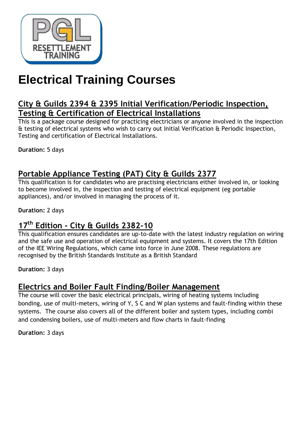

## **Electrical Training Courses**

### **City & Guilds 2394 & 2395 Initial Verification/Periodic Inspection, Testing & Certification of Electrical Installations**

This is a package course designed for practicing electricians or anyone involved in the inspection & testing of electrical systems who wish to carry out Initial Verification & Periodic Inspection, Testing and certification of Electrical Installations.

**Duration:** 5 days

### **Portable Appliance Testing (PAT) City & Guilds 2377**

This qualification is for candidates who are practising electricians either involved in, or looking to become involved in, the inspection and testing of electrical equipment (eg portable appliances), and/or involved in managing the process of it.

**Duration:** 2 days

### **17th Edition - City & Guilds 2382-10**

This qualification ensures candidates are up-to-date with the latest industry regulation on wiring and the safe use and operation of electrical equipment and systems. It covers the 17th Edition of the IEE Wiring Regulations, which came into force in June 2008. These regulations are recognised by the British Standards Institute as a British Standard

**Duration:** 3 days

### **Electrics and Boiler Fault Finding/Boiler Management**

The course will cover the basic electrical principals, wiring of heating systems including bonding, use of multi-meters, wiring of Y, S C and W plan systems and fault-finding within these systems. The course also covers all of the different boiler and system types, including combi and condensing boilers, use of multi-meters and flow charts in fault-finding

**Duration:** 3 days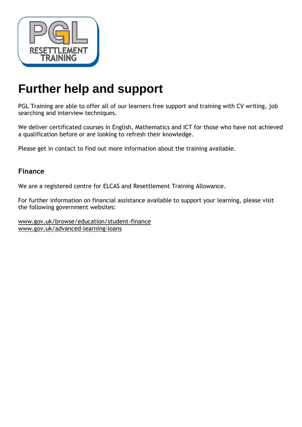

## **Further help and support**

PGL Training are able to offer all of our learners free support and training with CV writing, job searching and interview techniques.

We deliver certificated courses in English, Mathematics and ICT for those who have not achieved a qualification before or are looking to refresh their knowledge.

Please get in contact to find out more information about the training available.

### **Finance**

We are a registered centre for ELCAS and Resettlement Training Allowance.

For further information on financial assistance available to support your learning, please visit the following government websites:

[www.gov.uk/browse/education/student-finance](http://www.gov.uk/browse/education/student-finance) [www.gov.uk/advanced-learning-loans](http://www.gov.uk/advanced-learning-loans)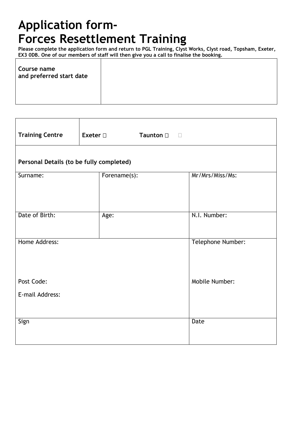## **Application form-Forces Resettlement Training**

**Please complete the application form and return to PGL Training, Clyst Works, Clyst road, Topsham, Exeter, EX3 0DB. One of our members of staff will then give you a call to finalise the booking.**

| Course name<br>and preferred start date |  |
|-----------------------------------------|--|
|                                         |  |

| <b>Training Centre</b>                   | Exeter $\square$ | <b>Taunton</b> □ | $\Box$            |  |
|------------------------------------------|------------------|------------------|-------------------|--|
| Personal Details (to be fully completed) |                  |                  |                   |  |
| Surname:                                 | Forename(s):     |                  | Mr/Mrs/Miss/Ms:   |  |
|                                          |                  |                  |                   |  |
| Date of Birth:                           | Age:             |                  | N.I. Number:      |  |
| Home Address:                            |                  |                  | Telephone Number: |  |
|                                          |                  |                  |                   |  |
| Post Code:                               |                  |                  | Mobile Number:    |  |
| E-mail Address:                          |                  |                  |                   |  |
|                                          |                  |                  |                   |  |
| Sign                                     |                  |                  | Date              |  |
|                                          |                  |                  |                   |  |